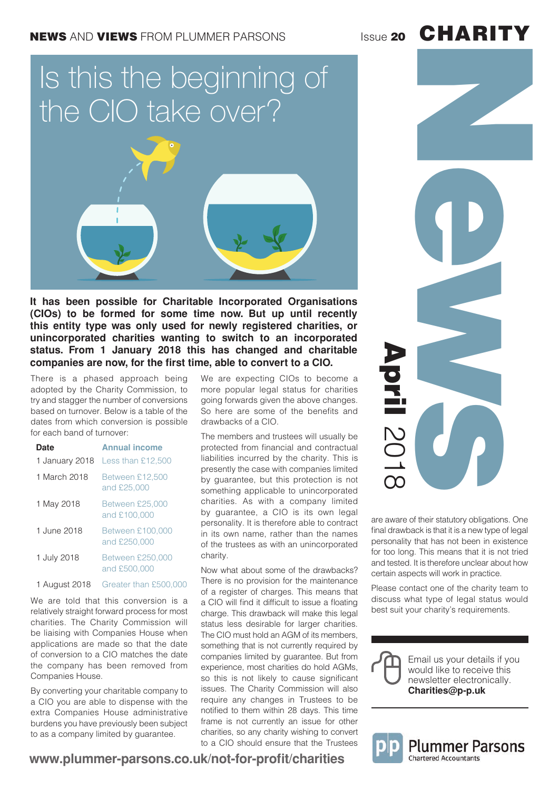### **CHARITY**

# Is this the beginning of the CIO take over?



**It has been possible for Charitable Incorporated Organisations (CIOs) to be formed for some time now. But up until recently this entity type was only used for newly registered charities, or unincorporated charities wanting to switch to an incorporated status. From 1 January 2018 this has changed and charitable companies are now, for the first time, able to convert to a CIO.**

There is a phased approach being adopted by the Charity Commission, to try and stagger the number of conversions based on turnover. Below is a table of the dates from which conversion is possible for each band of turnover:

| <b>Date</b>    | <b>Annual income</b>                    |
|----------------|-----------------------------------------|
| 1 January 2018 | Less than £12,500                       |
| 1 March 2018   | <b>Between £12,500</b><br>and £25,000   |
| 1 May 2018     | <b>Between £25,000</b><br>and £100,000  |
| 1 June 2018    | <b>Between £100,000</b><br>and £250,000 |
| 1 July 2018    | <b>Between £250,000</b><br>and £500,000 |
| 1 August 2018  | Greater than £500.                      |

We are told that this conversion is a relatively straight forward process for most charities. The Charity Commission will be liaising with Companies House when applications are made so that the date of conversion to a CIO matches the date the company has been removed from Companies House.

By converting your charitable company to a CIO you are able to dispense with the extra Companies House administrative burdens you have previously been subject to as a company limited by guarantee.

We are expecting CIOs to become a more popular legal status for charities going forwards given the above changes. So here are some of the benefits and drawbacks of a CIO.

The members and trustees will usually be protected from financial and contractual liabilities incurred by the charity. This is presently the case with companies limited by guarantee, but this protection is not something applicable to unincorporated charities. As with a company limited by guarantee, a CIO is its own legal personality. It is therefore able to contract in its own name, rather than the names of the trustees as with an unincorporated charity.

Now what about some of the drawbacks? There is no provision for the maintenance of a register of charges. This means that a CIO will find it difficult to issue a floating charge. This drawback will make this legal status less desirable for larger charities. The CIO must hold an AGM of its members, something that is not currently required by companies limited by guarantee. But from experience, most charities do hold AGMs, so this is not likely to cause significant issues. The Charity Commission will also require any changes in Trustees to be notified to them within 28 days. This time frame is not currently an issue for other charities, so any charity wishing to convert to a CIO should ensure that the Trustees



are aware of their statutory obligations. One final drawback is that it is a new type of legal personality that has not been in existence for too long. This means that it is not tried and tested. It is therefore unclear about how certain aspects will work in practice.

Please contact one of the charity team to discuss what type of legal status would best suit your charity's requirements.





#### **www.plummer-parsons.co.uk/not-for-profit/charities**